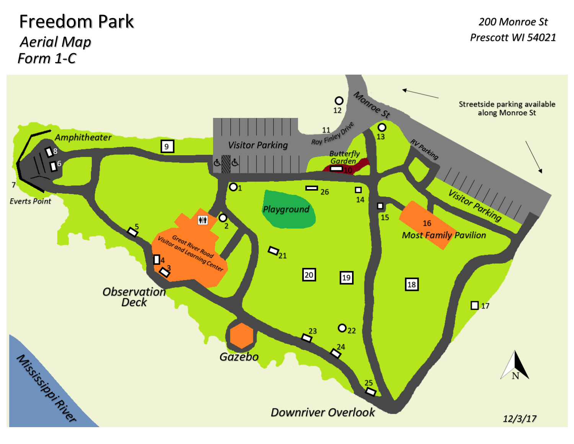## Freedom Park *Aerial Map Form 1-C*